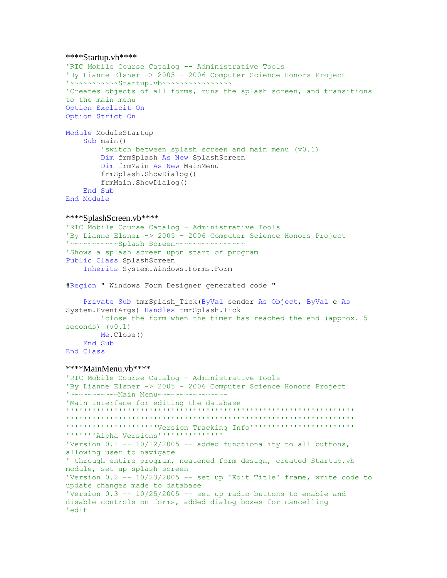```
****Startup.vb****
'RIC Mobile Course Catalog -- Administrative Tools
'By Lianne Elsner -> 2005 - 2006 Computer Science Honors Project
'~~~~~~~~~~~Startup.vb~~~~~~~~~~~~~~~~
'Creates objects of all forms, runs the splash screen, and transitions 
to the main menu
Option Explicit On
Option Strict On
Module ModuleStartup
      Sub main()
           'switch between splash screen and main menu (v0.1)
           Dim frmSplash As New SplashScreen
           Dim frmMain As New MainMenu
           frmSplash.ShowDialog()
           frmMain.ShowDialog()
      End Sub
End Module
****SplashScreen.vb****
'RIC Mobile Course Catalog - Administrative Tools
'By Lianne Elsner -> 2005 - 2006 Computer Science Honors Project
'~~~~~~~~~~~Splash Screen~~~~~~~~~~~~~~~~
'Shows a splash screen upon start of program
Public Class SplashScreen
      Inherits System.Windows.Forms.Form
#Region " Windows Form Designer generated code "
      Private Sub tmrSplash_Tick(ByVal sender As Object, ByVal e As
System.EventArgs) Handles tmrSplash.Tick
           'close the form when the timer has reached the end (approx. 5 
seconds) (v0.1)
          Me.Close()
      End Sub
End Class
****MainMenu.vb****
'RIC Mobile Course Catalog - Administrative Tools
'By Lianne Elsner -> 2005 - 2006 Computer Science Honors Project
'~~~~~~~~~~~Main Menu~~~~~~~~~~~~~~~~
'Main interface for editing the database
\begin{smallmatrix} \bullet & \bullet & \bullet & \bullet & \bullet & \bullet\end{smallmatrix} , \begin{smallmatrix} \bullet & \bullet & \bullet & \bullet & \bullet\end{smallmatrix} , \begin{smallmatrix} \bullet & \bullet & \bullet & \bullet & \bullet\end{smallmatrix} , \begin{smallmatrix} \bullet & \bullet & \bullet & \bullet\end{smallmatrix} , \begin{smallmatrix} \bullet & \bullet & \bullet & \bullet\end{smallmatrix} , \begin{smallmatrix} \bullet & \bullet & \bullet & \bullet\end{smallmatrix} , \begin{smallmatrix} \bullet & \bullet & \bullet & \bullet\end{smallmatrix} , \begin{smallmatrix} \bullet & \bullet &'''''''''''''''''''''''''''''''''''''''''''''''''''''''''''''''''''''''''''''''''''''''Version Tracking Info''''''''''''''''''''''''
'''''''Alpha Versions'''''''''''''''
'Version 0.1 -- 10/12/2005 -- added functionality to all buttons,
allowing user to navigate 
' through entire program, neatened form design, created Startup.vb 
module, set up splash screen
'Version 0.2 -- 10/23/2005 -- set up 'Edit Title' frame, write code to
update changes made to database
'Version 0.3 -- 10/25/2005 -- set up radio buttons to enable and 
disable controls on forms, added dialog boxes for cancelling
'edit
```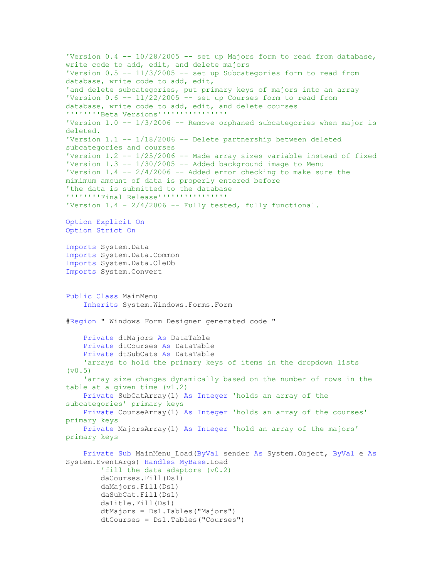```
'Version 0.4 -- 10/28/2005 -- set up Majors form to read from database,
write code to add, edit, and delete majors
'Version 0.5 -- 11/3/2005 -- set up Subcategories form to read from 
database, write code to add, edit, 
'and delete subcategories, put primary keys of majors into an array
'Version 0.6 -- 11/22/2005 -- set up Courses form to read from
database, write code to add, edit, and delete courses
''''''''Beta Versions''''''''''''''''
'Version 1.0 -- 1/3/2006 -- Remove orphaned subcategories when major is 
deleted.
'Version 1.1 -- 1/18/2006 -- Delete partnership between deleted 
subcategories and courses
'Version 1.2 -- 1/25/2006 -- Made array sizes variable instead of fixed
'Version 1.3 -- 1/30/2005 -- Added background image to Menu
'Version 1.4 -- 2/4/2006 -- Added error checking to make sure the
mimimum amount of data is properly entered before 
'the data is submitted to the database
''''''''Final Release''''''''''''''''
'Version 1.4 - 2/4/2006 -- Fully tested, fully functional.
Option Explicit On
Option Strict On
Imports System.Data
Imports System.Data.Common
Imports System.Data.OleDb
Imports System.Convert
Public Class MainMenu
     Inherits System.Windows.Forms.Form
#Region " Windows Form Designer generated code "
     Private dtMajors As DataTable
     Private dtCourses As DataTable
     Private dtSubCats As DataTable
     'arrays to hold the primary keys of items in the dropdown lists 
(v0.5) 'array size changes dynamically based on the number of rows in the 
table at a given time (v1.2)
     Private SubCatArray(1) As Integer 'holds an array of the 
subcategories' primary keys
     Private CourseArray(1) As Integer 'holds an array of the courses' 
primary keys
     Private MajorsArray(1) As Integer 'hold an array of the majors' 
primary keys
     Private Sub MainMenu_Load(ByVal sender As System.Object, ByVal e As
System.EventArgs) Handles MyBase.Load
         'fill the data adaptors (v0.2)
         daCourses.Fill(Ds1)
         daMajors.Fill(Ds1)
         daSubCat.Fill(Ds1)
         daTitle.Fill(Ds1)
         dtMajors = Ds1.Tables("Majors")
         dtCourses = Ds1.Tables("Courses")
```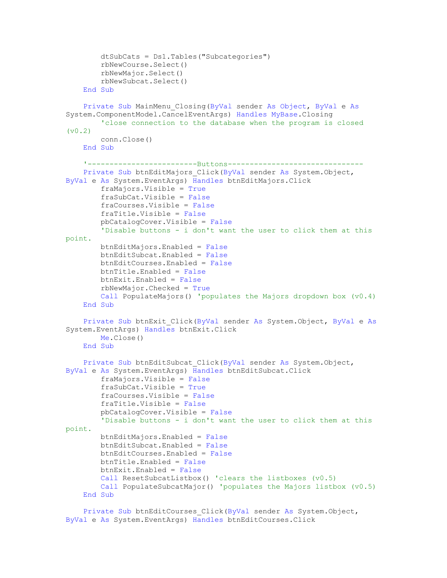```
 dtSubCats = Ds1.Tables("Subcategories")
         rbNewCourse.Select()
         rbNewMajor.Select()
         rbNewSubcat.Select()
     End Sub
     Private Sub MainMenu_Closing(ByVal sender As Object, ByVal e As
System.ComponentModel.CancelEventArgs) Handles MyBase.Closing
         'close connection to the database when the program is closed 
(v0.2) conn.Close()
     End Sub
     '-------------------------Buttons-------------------------------
    Private Sub btnEditMajors Click(ByVal sender As System.Object,
ByVal e As System.EventArgs) Handles btnEditMajors.Click
         fraMajors.Visible = True
         fraSubCat.Visible = False
         fraCourses.Visible = False
         fraTitle.Visible = False
         pbCatalogCover.Visible = False
         'Disable buttons - i don't want the user to click them at this 
point.
         btnEditMajors.Enabled = False
         btnEditSubcat.Enabled = False
         btnEditCourses.Enabled = False
         btnTitle.Enabled = False
         btnExit.Enabled = False
         rbNewMajor.Checked = True
         Call PopulateMajors() 'populates the Majors dropdown box (v0.4)
     End Sub
     Private Sub btnExit_Click(ByVal sender As System.Object, ByVal e As
System.EventArgs) Handles btnExit.Click
        Me.Close()
     End Sub
     Private Sub btnEditSubcat_Click(ByVal sender As System.Object, 
ByVal e As System.EventArgs) Handles btnEditSubcat.Click
         fraMajors.Visible = False
         fraSubCat.Visible = True
         fraCourses.Visible = False
         fraTitle.Visible = False
         pbCatalogCover.Visible = False
         'Disable buttons - i don't want the user to click them at this 
point.
         btnEditMajors.Enabled = False
         btnEditSubcat.Enabled = False
         btnEditCourses.Enabled = False
         btnTitle.Enabled = False
         btnExit.Enabled = False
         Call ResetSubcatListbox() 'clears the listboxes (v0.5)
         Call PopulateSubcatMajor() 'populates the Majors listbox (v0.5)
     End Sub
```
 Private Sub btnEditCourses\_Click(ByVal sender As System.Object, ByVal e As System.EventArgs) Handles btnEditCourses.Click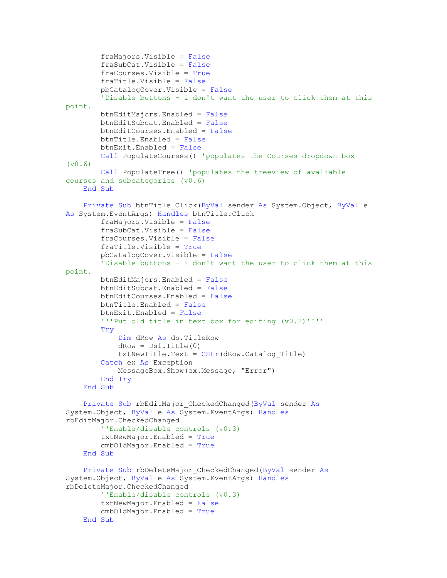```
 fraMajors.Visible = False
         fraSubCat.Visible = False
         fraCourses.Visible = True
         fraTitle.Visible = False
         pbCatalogCover.Visible = False
         'Disable buttons - i don't want the user to click them at this 
point.
         btnEditMajors.Enabled = False
         btnEditSubcat.Enabled = False
         btnEditCourses.Enabled = False
         btnTitle.Enabled = False
         btnExit.Enabled = False
         Call PopulateCourses() 'populates the Courses dropdown box 
(v0.6)
         Call PopulateTree() 'populates the treeview of avaliable 
courses and subcategories (v0.6)
     End Sub
     Private Sub btnTitle_Click(ByVal sender As System.Object, ByVal e 
As System.EventArgs) Handles btnTitle.Click
         fraMajors.Visible = False
         fraSubCat.Visible = False
         fraCourses.Visible = False
         fraTitle.Visible = True
         pbCatalogCover.Visible = False
         'Disable buttons - i don't want the user to click them at this 
point.
         btnEditMajors.Enabled = False
         btnEditSubcat.Enabled = False
         btnEditCourses.Enabled = False
         btnTitle.Enabled = False
         btnExit.Enabled = False
         '''Put old title in text box for editing (v0.2)''''
         Try
             Dim dRow As ds.TitleRow
            dRow = DS1.Title(0)txtNewTitle.Text = CStr(dRow.Catalog Title) Catch ex As Exception
             MessageBox.Show(ex.Message, "Error")
         End Try
     End Sub
    Private Sub rbEditMajor CheckedChanged(ByVal sender As
System.Object, ByVal e As System.EventArgs) Handles
rbEditMajor.CheckedChanged
         ''Enable/disable controls (v0.3)
         txtNewMajor.Enabled = True
         cmbOldMajor.Enabled = True
     End Sub
    Private Sub rbDeleteMajor CheckedChanged(ByVal sender As
System.Object, ByVal e As System.EventArgs) Handles
rbDeleteMajor.CheckedChanged
         ''Enable/disable controls (v0.3)
         txtNewMajor.Enabled = False
         cmbOldMajor.Enabled = True
     End Sub
```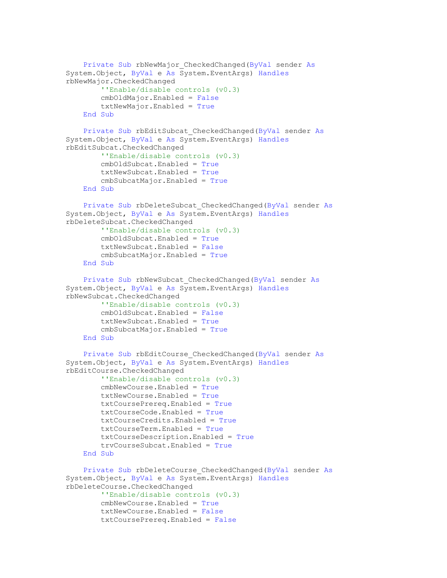```
Private Sub rbNewMajor CheckedChanged(ByVal sender As
System.Object, ByVal e As System.EventArgs) Handles
rbNewMajor.CheckedChanged
         ''Enable/disable controls (v0.3)
         cmbOldMajor.Enabled = False
         txtNewMajor.Enabled = True
     End Sub
    Private Sub rbEditSubcat CheckedChanged(ByVal sender As
System.Object, ByVal e As System.EventArgs) Handles
rbEditSubcat.CheckedChanged
         ''Enable/disable controls (v0.3)
         cmbOldSubcat.Enabled = True
         txtNewSubcat.Enabled = True
         cmbSubcatMajor.Enabled = True
     End Sub
     Private Sub rbDeleteSubcat_CheckedChanged(ByVal sender As
System.Object, ByVal e As System.EventArgs) Handles
rbDeleteSubcat.CheckedChanged
         ''Enable/disable controls (v0.3)
         cmbOldSubcat.Enabled = True
         txtNewSubcat.Enabled = False
         cmbSubcatMajor.Enabled = True
     End Sub
     Private Sub rbNewSubcat_CheckedChanged(ByVal sender As
System.Object, ByVal e As System.EventArgs) Handles
rbNewSubcat.CheckedChanged
         ''Enable/disable controls (v0.3)
         cmbOldSubcat.Enabled = False
         txtNewSubcat.Enabled = True
         cmbSubcatMajor.Enabled = True
     End Sub
     Private Sub rbEditCourse_CheckedChanged(ByVal sender As
System.Object, ByVal e As System.EventArgs) Handles
rbEditCourse.CheckedChanged
         ''Enable/disable controls (v0.3)
         cmbNewCourse.Enabled = True
         txtNewCourse.Enabled = True
         txtCoursePrereq.Enabled = True
         txtCourseCode.Enabled = True
         txtCourseCredits.Enabled = True
         txtCourseTerm.Enabled = True
         txtCourseDescription.Enabled = True
         trvCourseSubcat.Enabled = True
     End Sub
    Private Sub rbDeleteCourse CheckedChanged (ByVal sender As
System.Object, ByVal e As System.EventArgs) Handles
rbDeleteCourse.CheckedChanged
         ''Enable/disable controls (v0.3)
         cmbNewCourse.Enabled = True
         txtNewCourse.Enabled = False
         txtCoursePrereq.Enabled = False
```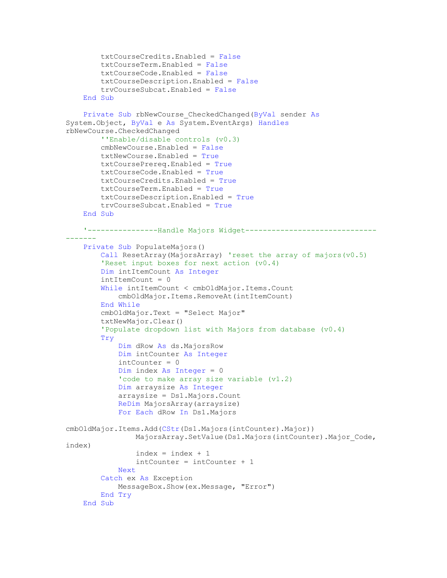```
 txtCourseCredits.Enabled = False
         txtCourseTerm.Enabled = False
         txtCourseCode.Enabled = False
         txtCourseDescription.Enabled = False
         trvCourseSubcat.Enabled = False
    End Sub
     Private Sub rbNewCourse_CheckedChanged(ByVal sender As
System.Object, ByVal e As System.EventArgs) Handles
rbNewCourse.CheckedChanged
         ''Enable/disable controls (v0.3)
        cmbNewCourse.Enabled = False
        txtNewCourse.Enabled = True
        txtCoursePrereq.Enabled = True
        txtCourseCode.Enabled = True
         txtCourseCredits.Enabled = True
         txtCourseTerm.Enabled = True
         txtCourseDescription.Enabled = True
         trvCourseSubcat.Enabled = True
     End Sub
     '----------------Handle Majors Widget------------------------------
-------
    Private Sub PopulateMajors()
        Call ResetArray(MajorsArray) 'reset the array of majors(v0.5)
         'Reset input boxes for next action (v0.4)
         Dim intItemCount As Integer
       intItemCount = 0 While intItemCount < cmbOldMajor.Items.Count
             cmbOldMajor.Items.RemoveAt(intItemCount)
         End While
         cmbOldMajor.Text = "Select Major"
         txtNewMajor.Clear()
         'Populate dropdown list with Majors from database (v0.4)
         Try
             Dim dRow As ds.MajorsRow
             Dim intCounter As Integer
            intCounter = 0 Dim index As Integer = 0
             'code to make array size variable (v1.2)
             Dim arraysize As Integer
             arraysize = Ds1.Majors.Count
             ReDim MajorsArray(arraysize)
             For Each dRow In Ds1.Majors
cmbOldMajor.Items.Add(CStr(Ds1.Majors(intCounter).Major))
                MajorsArray.SetValue(Ds1.Majors(intCounter).Major Code,
index)
                index = index + 1 intCounter = intCounter + 1
             Next
         Catch ex As Exception
             MessageBox.Show(ex.Message, "Error")
         End Try
     End Sub
```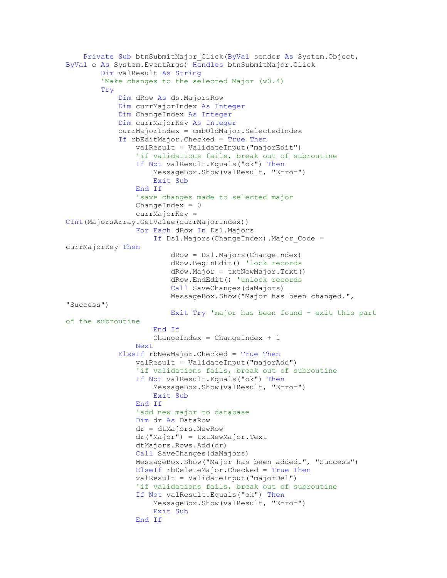```
 Private Sub btnSubmitMajor_Click(ByVal sender As System.Object, 
ByVal e As System.EventArgs) Handles btnSubmitMajor.Click
         Dim valResult As String
        'Make changes to the selected Major (v0.4)
         Try
             Dim dRow As ds.MajorsRow
             Dim currMajorIndex As Integer
             Dim ChangeIndex As Integer
             Dim currMajorKey As Integer
             currMajorIndex = cmbOldMajor.SelectedIndex
             If rbEditMajor.Checked = True Then
                 valResult = ValidateInput("majorEdit")
                 'if validations fails, break out of subroutine
                 If Not valResult.Equals("ok") Then
                     MessageBox.Show(valResult, "Error")
                    Exit Sub
                 End If
                 'save changes made to selected major
                ChangeIndex = 0 currMajorKey = 
CInt(MajorsArray.GetValue(currMajorIndex))
                 For Each dRow In Ds1.Majors
                     If Ds1.Majors(ChangeIndex).Major_Code = 
currMajorKey Then
                          dRow = Ds1.Majors(ChangeIndex)
                         dRow.BeginEdit() 'lock records
                         dRow.Major = txtNewMajor.Text()dRow.EndEdit() 'unlock records
                        Call SaveChanges(daMajors)
                        MessageBox.Show("Major has been changed.", 
"Success")
                         Exit Try 'major has been found - exit this part 
of the subroutine
                     End If
                    ChangeIndex = ChangeIndex + 1 Next
             ElseIf rbNewMajor.Checked = True Then
                valResult = ValidateInput("majorAdd") 'if validations fails, break out of subroutine
                 If Not valResult.Equals("ok") Then
                     MessageBox.Show(valResult, "Error")
                    Exit Sub
                 End If
                 'add new major to database
                 Dim dr As DataRow
                 dr = dtMajors.NewRow
                 dr("Major") = txtNewMajor.Text
                 dtMajors.Rows.Add(dr)
                 Call SaveChanges(daMajors)
                 MessageBox.Show("Major has been added.", "Success")
                 ElseIf rbDeleteMajor.Checked = True Then
                 valResult = ValidateInput("majorDel")
                 'if validations fails, break out of subroutine
                 If Not valResult.Equals("ok") Then
                     MessageBox.Show(valResult, "Error")
                    Exit Sub
                 End If
```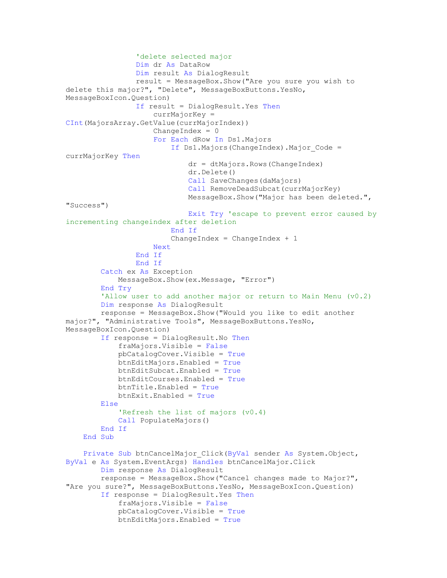```
 'delete selected major
                 Dim dr As DataRow
                 Dim result As DialogResult
                 result = MessageBox.Show("Are you sure you wish to 
delete this major?", "Delete", MessageBoxButtons.YesNo, 
MessageBoxIcon.Question)
                 If result = DialogResult.Yes Then
                      currMajorKey = 
CInt(MajorsArray.GetValue(currMajorIndex))
                     ChangeIndex = 0For Each dRow In Ds1.Majors
                         If Ds1.Majors(ChangeIndex).Major Code =
currMajorKey Then
                              dr = dtMajors.Rows(ChangeIndex)
                              dr.Delete()
                              Call SaveChanges(daMajors)
                             Call RemoveDeadSubcat(currMajorKey)
                             MessageBox.Show("Major has been deleted.", 
"Success")
                              Exit Try 'escape to prevent error caused by 
incrementing changeindex after deletion
                          End If
                         ChangeIndex = ChangeIndex + 1 Next
                 End If
                 End If
         Catch ex As Exception
             MessageBox.Show(ex.Message, "Error")
         End Try
         'Allow user to add another major or return to Main Menu (v0.2)
         Dim response As DialogResult
         response = MessageBox.Show("Would you like to edit another 
major?", "Administrative Tools", MessageBoxButtons.YesNo, 
MessageBoxIcon.Question)
         If response = DialogResult.No Then
             fraMajors.Visible = False
             pbCatalogCover.Visible = True
             btnEditMajors.Enabled = True
             btnEditSubcat.Enabled = True
             btnEditCourses.Enabled = True
             btnTitle.Enabled = True
             btnExit.Enabled = True
         Else
             'Refresh the list of majors (v0.4)
             Call PopulateMajors()
         End If
     End Sub
    Private Sub btnCancelMajor Click(ByVal sender As System.Object,
ByVal e As System.EventArgs) Handles btnCancelMajor.Click
         Dim response As DialogResult
         response = MessageBox.Show("Cancel changes made to Major?", 
"Are you sure?", MessageBoxButtons.YesNo, MessageBoxIcon.Question)
         If response = DialogResult.Yes Then
             fraMajors.Visible = False
             pbCatalogCover.Visible = True
             btnEditMajors.Enabled = True
```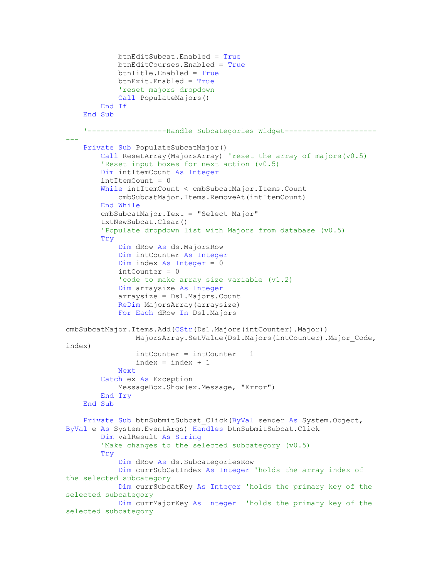```
 btnEditSubcat.Enabled = True
             btnEditCourses.Enabled = True
             btnTitle.Enabled = True
             btnExit.Enabled = True
             'reset majors dropdown
             Call PopulateMajors()
         End If
     End Sub
     '------------------Handle Subcategories Widget---------------------
---
     Private Sub PopulateSubcatMajor()
        Call ResetArray(MajorsArray) 'reset the array of majors(v(0.5))
         'Reset input boxes for next action (v0.5)
         Dim intItemCount As Integer
         intItemCount = 0
         While intItemCount < cmbSubcatMajor.Items.Count
             cmbSubcatMajor.Items.RemoveAt(intItemCount)
         End While
         cmbSubcatMajor.Text = "Select Major"
         txtNewSubcat.Clear()
         'Populate dropdown list with Majors from database (v0.5)
         Try
             Dim dRow As ds.MajorsRow
             Dim intCounter As Integer
             Dim index As Integer = 0
            intCounter = 0 'code to make array size variable (v1.2)
             Dim arraysize As Integer
             arraysize = Ds1.Majors.Count
             ReDim MajorsArray(arraysize)
             For Each dRow In Ds1.Majors
cmbSubcatMajor.Items.Add(CStr(Ds1.Majors(intCounter).Major))
                MajorsArray.SetValue(Ds1.Majors(intCounter).Major Code,
index)
                 intCounter = intCounter + 1
                index = index + 1 Next
         Catch ex As Exception
             MessageBox.Show(ex.Message, "Error")
         End Try
     End Sub
     Private Sub btnSubmitSubcat_Click(ByVal sender As System.Object, 
ByVal e As System.EventArgs) Handles btnSubmitSubcat.Click
         Dim valResult As String
         'Make changes to the selected subcategory (v0.5)
         Try
             Dim dRow As ds.SubcategoriesRow
             Dim currSubCatIndex As Integer 'holds the array index of 
the selected subcategory
             Dim currSubcatKey As Integer 'holds the primary key of the 
selected subcategory
             Dim currMajorKey As Integer 'holds the primary key of the 
selected subcategory
```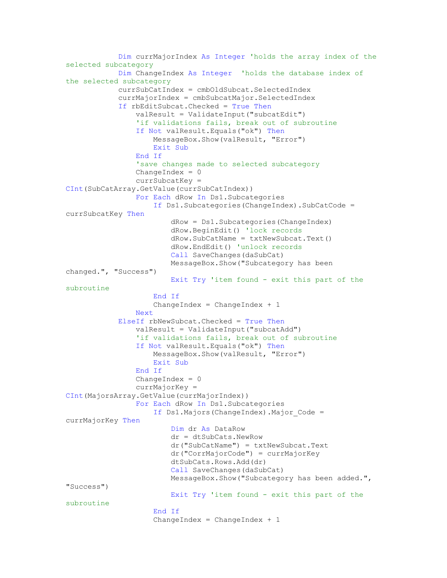```
 Dim currMajorIndex As Integer 'holds the array index of the 
selected subcategory
             Dim ChangeIndex As Integer 'holds the database index of 
the selected subcategory
             currSubCatIndex = cmbOldSubcat.SelectedIndex
             currMajorIndex = cmbSubcatMajor.SelectedIndex
             If rbEditSubcat.Checked = True Then
                 valResult = ValidateInput("subcatEdit")
                 'if validations fails, break out of subroutine
                 If Not valResult.Equals("ok") Then
                     MessageBox.Show(valResult, "Error")
                    Exit Sub
                 End If
                 'save changes made to selected subcategory
                ChangeIndex = 0 currSubcatKey = 
CInt(SubCatArray.GetValue(currSubCatIndex))
                 For Each dRow In Ds1.Subcategories
                     If Ds1.Subcategories(ChangeIndex).SubCatCode = 
currSubcatKey Then
                          dRow = Ds1.Subcategories(ChangeIndex)
                         dRow.BeginEdit() 'lock records
                          dRow.SubCatName = txtNewSubcat.Text()
                        dRow.EndEdit() 'unlock records
                        Call SaveChanges(daSubCat)
                        MessageBox.Show("Subcategory has been 
changed.", "Success")
                         Exit Try 'item found - exit this part of the 
subroutine
                     End If
                    ChangeIndex = ChangeIndex + 1 Next
             ElseIf rbNewSubcat.Checked = True Then
                 valResult = ValidateInput("subcatAdd")
                 'if validations fails, break out of subroutine
                 If Not valResult.Equals("ok") Then
                     MessageBox.Show(valResult, "Error")
                    Exit Sub
                 End If
                ChangeIndex = 0 currMajorKey = 
CInt(MajorsArray.GetValue(currMajorIndex))
                 For Each dRow In Ds1.Subcategories
                     If Ds1.Majors(ChangeIndex).Major_Code = 
currMajorKey Then
                          Dim dr As DataRow
                         dr = dtSubCats.NewRow
                        dr("SubCatName") = txtNewSubcat.Text
                        dr("CorrMajorCode") = currMajorKey
                        dtSubCats.Rows.Add(dr)
                        Call SaveChanges(daSubCat)
                        MessageBox.Show("Subcategory has been added.", 
"Success")
                         Exit Try 'item found - exit this part of the 
subroutine
                     End If
                    ChangeIndex = ChangeIndex + 1
```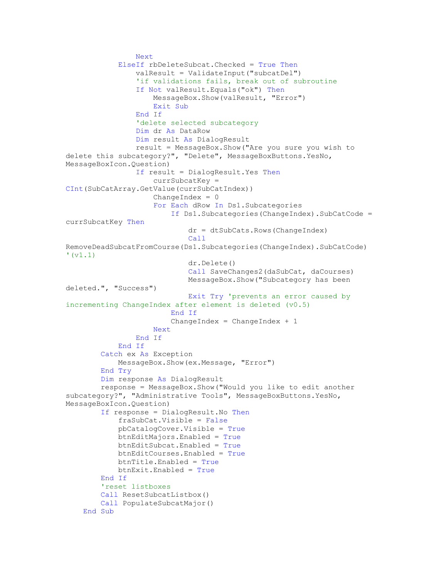```
 Next
             ElseIf rbDeleteSubcat.Checked = True Then
                 valResult = ValidateInput("subcatDel")
                 'if validations fails, break out of subroutine
                 If Not valResult.Equals("ok") Then
                     MessageBox.Show(valResult, "Error")
                    Exit Sub
                 End If
                 'delete selected subcategory
                 Dim dr As DataRow
                 Dim result As DialogResult
                 result = MessageBox.Show("Are you sure you wish to 
delete this subcategory?", "Delete", MessageBoxButtons.YesNo, 
MessageBoxIcon.Question)
                 If result = DialogResult.Yes Then
                      currSubcatKey = 
CInt(SubCatArray.GetValue(currSubCatIndex))
                    ChangeIndex = 0For Each dRow In Ds1.Subcategories
                          If Ds1.Subcategories(ChangeIndex).SubCatCode = 
currSubcatKey Then
                              dr = dtSubCats.Rows(ChangeIndex)
                             Call
RemoveDeadSubcatFromCourse(Ds1.Subcategories(ChangeIndex).SubCatCode) 
' (v1.1)
                              dr.Delete()
                             Call SaveChanges2(daSubCat, daCourses)
                              MessageBox.Show("Subcategory has been 
deleted.", "Success")
                              Exit Try 'prevents an error caused by 
incrementing ChangeIndex after element is deleted (v0.5)
                          End If
                         ChangeIndex = ChangeIndex + 1 Next
                 End If
             End If
         Catch ex As Exception
             MessageBox.Show(ex.Message, "Error")
         End Try
         Dim response As DialogResult
         response = MessageBox.Show("Would you like to edit another 
subcategory?", "Administrative Tools", MessageBoxButtons.YesNo, 
MessageBoxIcon.Question)
         If response = DialogResult.No Then
             fraSubCat.Visible = False
             pbCatalogCover.Visible = True
             btnEditMajors.Enabled = True
             btnEditSubcat.Enabled = True
             btnEditCourses.Enabled = True
             btnTitle.Enabled = True
             btnExit.Enabled = True
         End If
         'reset listboxes
        Call ResetSubcatListbox()
         Call PopulateSubcatMajor()
     End Sub
```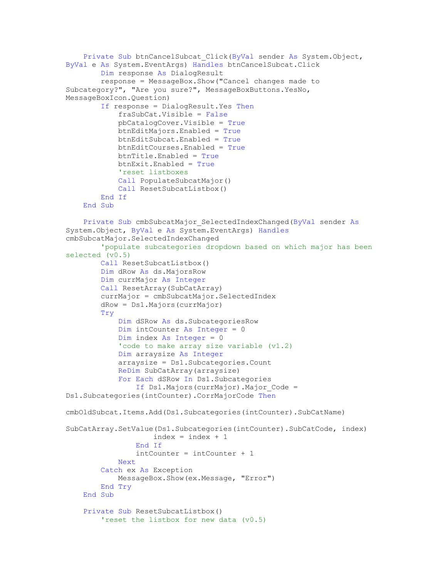```
 Private Sub btnCancelSubcat_Click(ByVal sender As System.Object, 
ByVal e As System.EventArgs) Handles btnCancelSubcat.Click
         Dim response As DialogResult
         response = MessageBox.Show("Cancel changes made to 
Subcategory?", "Are you sure?", MessageBoxButtons.YesNo, 
MessageBoxIcon.Question)
         If response = DialogResult.Yes Then
             fraSubCat.Visible = False
             pbCatalogCover.Visible = True
             btnEditMajors.Enabled = True
             btnEditSubcat.Enabled = True
             btnEditCourses.Enabled = True
             btnTitle.Enabled = True
             btnExit.Enabled = True
             'reset listboxes
             Call PopulateSubcatMajor()
            Call ResetSubcatListbox()
         End If
     End Sub
     Private Sub cmbSubcatMajor_SelectedIndexChanged(ByVal sender As
System.Object, ByVal e As System.EventArgs) Handles
cmbSubcatMajor.SelectedIndexChanged
         'populate subcategories dropdown based on which major has been 
selected (v0.5)
         Call ResetSubcatListbox()
         Dim dRow As ds.MajorsRow
         Dim currMajor As Integer
         Call ResetArray(SubCatArray)
         currMajor = cmbSubcatMajor.SelectedIndex
         dRow = Ds1.Majors(currMajor)
         Try
             Dim dSRow As ds.SubcategoriesRow
             Dim intCounter As Integer = 0
             Dim index As Integer = 0
             'code to make array size variable (v1.2)
             Dim arraysize As Integer
             arraysize = Ds1.Subcategories.Count
             ReDim SubCatArray(arraysize)
             For Each dSRow In Ds1.Subcategories
                 If Ds1.Majors(currMajor).Major_Code = 
Ds1.Subcategories(intCounter).CorrMajorCode Then
cmbOldSubcat.Items.Add(Ds1.Subcategories(intCounter).SubCatName)
SubCatArray.SetValue(Ds1.Subcategories(intCounter).SubCatCode, index)
                    index = index + 1 End If
                 intCounter = intCounter + 1
             Next
         Catch ex As Exception
             MessageBox.Show(ex.Message, "Error")
         End Try
     End Sub
     Private Sub ResetSubcatListbox()
         'reset the listbox for new data (v0.5)
```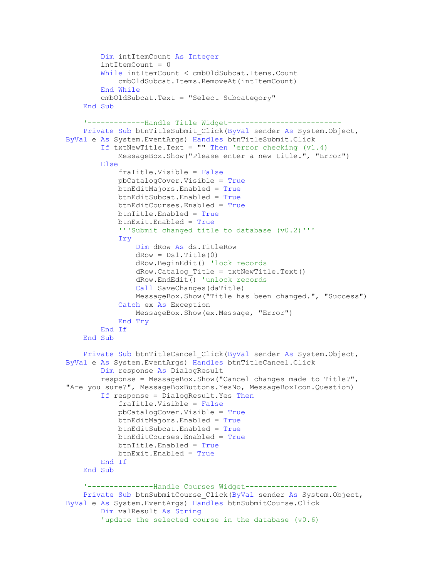```
 Dim intItemCount As Integer
        intItemCount = 0 While intItemCount < cmbOldSubcat.Items.Count
             cmbOldSubcat.Items.RemoveAt(intItemCount)
         End While
         cmbOldSubcat.Text = "Select Subcategory"
     End Sub
     '-------------Handle Title Widget--------------------------
     Private Sub btnTitleSubmit_Click(ByVal sender As System.Object, 
ByVal e As System.EventArgs) Handles btnTitleSubmit.Click
        If txtNewTitle.Text = "" Then 'error checking (v1.4) MessageBox.Show("Please enter a new title.", "Error")
         Else
             fraTitle.Visible = False
             pbCatalogCover.Visible = True
             btnEditMajors.Enabled = True
             btnEditSubcat.Enabled = True
             btnEditCourses.Enabled = True
             btnTitle.Enabled = True
             btnExit.Enabled = True
             '''Submit changed title to database (v0.2)'''
             Try
                 Dim dRow As ds.TitleRow
                dRow = DS1.Title(0) dRow.BeginEdit() 'lock records
                dRow.Catalog Title = txtNewTitle.Fext() dRow.EndEdit() 'unlock records
                Call SaveChanges(daTitle)
                 MessageBox.Show("Title has been changed.", "Success")
             Catch ex As Exception
                 MessageBox.Show(ex.Message, "Error")
             End Try
         End If
    End Sub
     Private Sub btnTitleCancel_Click(ByVal sender As System.Object, 
ByVal e As System.EventArgs) Handles btnTitleCancel.Click
         Dim response As DialogResult
         response = MessageBox.Show("Cancel changes made to Title?", 
"Are you sure?", MessageBoxButtons.YesNo, MessageBoxIcon.Question)
         If response = DialogResult.Yes Then
             fraTitle.Visible = False
             pbCatalogCover.Visible = True
             btnEditMajors.Enabled = True
             btnEditSubcat.Enabled = True
             btnEditCourses.Enabled = True
             btnTitle.Enabled = True
             btnExit.Enabled = True
        End If
     End Sub
     '---------------Handle Courses Widget---------------------
     Private Sub btnSubmitCourse_Click(ByVal sender As System.Object, 
ByVal e As System.EventArgs) Handles btnSubmitCourse.Click
         Dim valResult As String
         'update the selected course in the database (v0.6)
```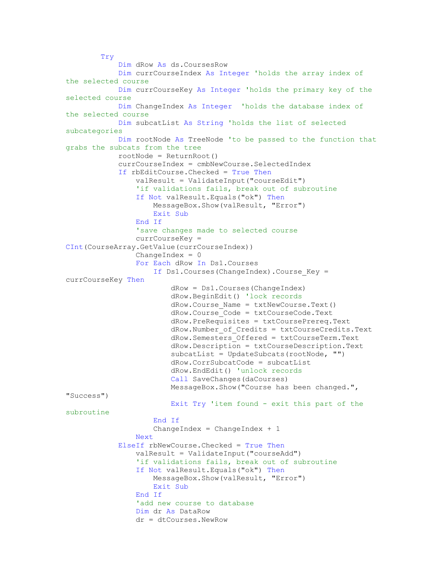Try Dim dRow As ds.CoursesRow Dim currCourseIndex As Integer 'holds the array index of the selected course Dim currCourseKey As Integer 'holds the primary key of the selected course Dim ChangeIndex As Integer 'holds the database index of the selected course Dim subcatList As String 'holds the list of selected subcategories Dim rootNode As TreeNode 'to be passed to the function that grabs the subcats from the tree rootNode = ReturnRoot() currCourseIndex = cmbNewCourse.SelectedIndex If rbEditCourse.Checked = True Then valResult = ValidateInput("courseEdit") 'if validations fails, break out of subroutine If Not valResult.Equals("ok") Then MessageBox.Show(valResult, "Error") Exit Sub End If 'save changes made to selected course currCourseKey = CInt(CourseArray.GetValue(currCourseIndex))  $ChangeIndex = 0$  For Each dRow In Ds1.Courses If Ds1.Courses(ChangeIndex).Course\_Key = currCourseKey Then dRow = Ds1.Courses(ChangeIndex) dRow.BeginEdit() 'lock records dRow.Course\_Name = txtNewCourse.Text() dRow.Course\_Code = txtCourseCode.Text dRow.PreRequisites = txtCoursePrereq.Text dRow.Number\_of\_Credits = txtCourseCredits.Text dRow.Semesters\_Offered = txtCourseTerm.Text dRow.Description = txtCourseDescription.Text subcatList = UpdateSubcats(rootNode, "") dRow.CorrSubcatCode = subcatList dRow.EndEdit() 'unlock records Call SaveChanges(daCourses) MessageBox.Show("Course has been changed.", "Success") Exit Try 'item found - exit this part of the subroutine End If ChangeIndex =  $ChangeIndex + 1$  Next ElseIf rbNewCourse.Checked = True Then valResult = ValidateInput("courseAdd") 'if validations fails, break out of subroutine If Not valResult.Equals("ok") Then MessageBox.Show(valResult, "Error") Exit Sub End If 'add new course to database Dim dr As DataRow dr = dtCourses.NewRow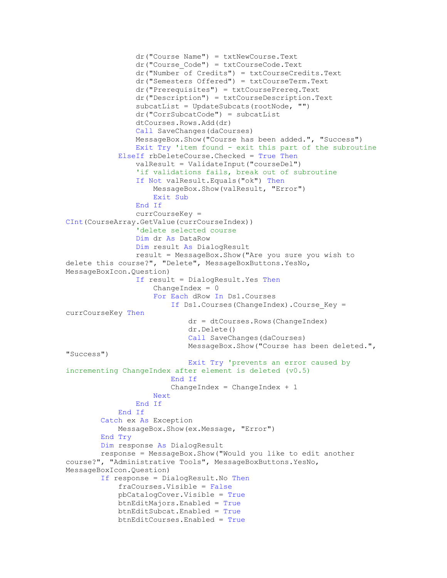```
 dr("Course Name") = txtNewCourse.Text
                 dr("Course_Code") = txtCourseCode.Text
                 dr("Number of Credits") = txtCourseCredits.Text
                 dr("Semesters Offered") = txtCourseTerm.Text
                 dr("Prerequisites") = txtCoursePrereq.Text
                 dr("Description") = txtCourseDescription.Text
                subcattList = UpdateSubcats(rootNode, "") dr("CorrSubcatCode") = subcatList
                 dtCourses.Rows.Add(dr)
                 Call SaveChanges(daCourses)
                 MessageBox.Show("Course has been added.", "Success")
                 Exit Try 'item found - exit this part of the subroutine
             ElseIf rbDeleteCourse.Checked = True Then
                 valResult = ValidateInput("courseDel")
                 'if validations fails, break out of subroutine
                 If Not valResult.Equals("ok") Then
                     MessageBox.Show(valResult, "Error")
                    Exit Sub
                 End If
                 currCourseKey = 
CInt(CourseArray.GetValue(currCourseIndex))
                  'delete selected course
                 Dim dr As DataRow
                 Dim result As DialogResult
                 result = MessageBox.Show("Are you sure you wish to 
delete this course?", "Delete", MessageBoxButtons.YesNo, 
MessageBoxIcon.Question)
                 If result = DialogResult.Yes Then
                     ChangeIndex = 0For Each dRow In Ds1.Courses
                          If Ds1.Courses(ChangeIndex).Course_Key = 
currCourseKey Then
                              dr = dtCourses.Rows(ChangeIndex)
                             dr.Delete()
                             Call SaveChanges(daCourses)
                             MessageBox.Show("Course has been deleted.", 
"Success")
                              Exit Try 'prevents an error caused by 
incrementing ChangeIndex after element is deleted (v0.5)
                         End If
                         ChangeIndex = ChangeIndex + 1 Next
                 End If
             End If
         Catch ex As Exception
             MessageBox.Show(ex.Message, "Error")
         End Try
         Dim response As DialogResult
         response = MessageBox.Show("Would you like to edit another 
course?", "Administrative Tools", MessageBoxButtons.YesNo, 
MessageBoxIcon.Question)
         If response = DialogResult.No Then
             fraCourses.Visible = False
             pbCatalogCover.Visible = True
             btnEditMajors.Enabled = True
             btnEditSubcat.Enabled = True
             btnEditCourses.Enabled = True
```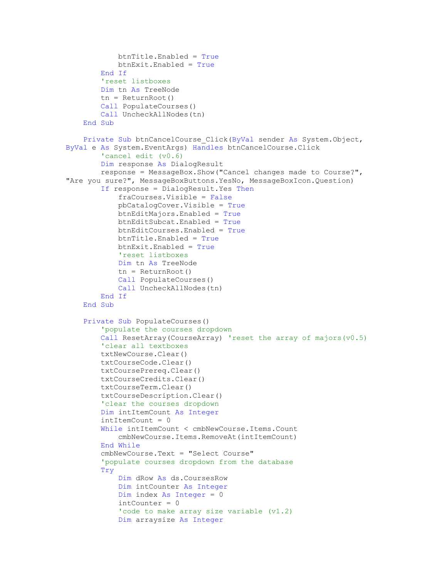```
 btnTitle.Enabled = True
             btnExit.Enabled = True
         End If
         'reset listboxes
         Dim tn As TreeNode
         tn = ReturnRoot()
         Call PopulateCourses()
        Call UncheckAllNodes(tn)
     End Sub
     Private Sub btnCancelCourse_Click(ByVal sender As System.Object, 
ByVal e As System.EventArgs) Handles btnCancelCourse.Click
         'cancel edit (v0.6)
         Dim response As DialogResult
         response = MessageBox.Show("Cancel changes made to Course?", 
"Are you sure?", MessageBoxButtons.YesNo, MessageBoxIcon.Question)
         If response = DialogResult.Yes Then
             fraCourses.Visible = False
             pbCatalogCover.Visible = True
             btnEditMajors.Enabled = True
             btnEditSubcat.Enabled = True
             btnEditCourses.Enabled = True
             btnTitle.Enabled = True
             btnExit.Enabled = True
             'reset listboxes
             Dim tn As TreeNode
             tn = ReturnRoot()
             Call PopulateCourses()
            Call UncheckAllNodes(tn)
         End If
     End Sub
     Private Sub PopulateCourses()
         'populate the courses dropdown
         Call ResetArray(CourseArray) 'reset the array of majors(v0.5)
         'clear all textboxes
         txtNewCourse.Clear()
         txtCourseCode.Clear()
         txtCoursePrereq.Clear()
         txtCourseCredits.Clear()
         txtCourseTerm.Clear()
         txtCourseDescription.Clear()
         'clear the courses dropdown
         Dim intItemCount As Integer
        intItemCount = 0 While intItemCount < cmbNewCourse.Items.Count
             cmbNewCourse.Items.RemoveAt(intItemCount)
         End While
         cmbNewCourse.Text = "Select Course"
         'populate courses dropdown from the database
         Try
             Dim dRow As ds.CoursesRow
             Dim intCounter As Integer
             Dim index As Integer = 0
            intCounter = 0 'code to make array size variable (v1.2)
             Dim arraysize As Integer
```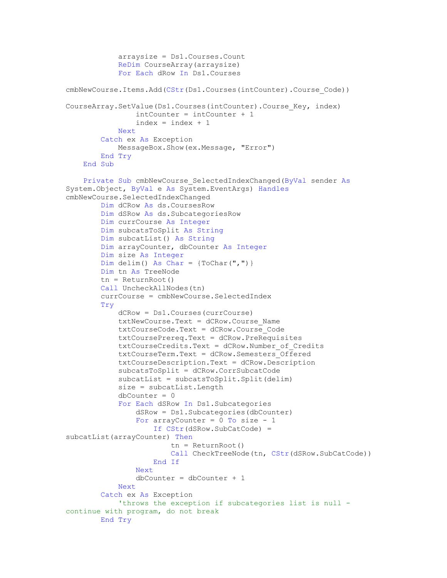```
 arraysize = Ds1.Courses.Count
             ReDim CourseArray(arraysize)
             For Each dRow In Ds1.Courses
cmbNewCourse.Items.Add(CStr(Ds1.Courses(intCounter).Course_Code))
CourseArray.SetValue(Ds1.Courses(intCounter).Course_Key, index)
                 intCounter = intCounter + 1
                index = index + 1 Next
         Catch ex As Exception
             MessageBox.Show(ex.Message, "Error")
         End Try
     End Sub
     Private Sub cmbNewCourse_SelectedIndexChanged(ByVal sender As
System.Object, ByVal e As System.EventArgs) Handles
cmbNewCourse.SelectedIndexChanged
         Dim dCRow As ds.CoursesRow
         Dim dSRow As ds.SubcategoriesRow
         Dim currCourse As Integer
         Dim subcatsToSplit As String
         Dim subcatList() As String
         Dim arrayCounter, dbCounter As Integer
         Dim size As Integer
        Dim delim() As Char = \{ToChar(","")\} Dim tn As TreeNode
        tn = ReturnRoot()Call UncheckAllNodes(tn)
         currCourse = cmbNewCourse.SelectedIndex
         Try
             dCRow = Ds1.Courses(currCourse)
             txtNewCourse.Text = dCRow.Course_Name
             txtCourseCode.Text = dCRow.Course_Code
             txtCoursePrereq.Text = dCRow.PreRequisites
             txtCourseCredits.Text = dCRow.Number_of_Credits
            txtCoursererm.Text = dCRow.Semesters Offered
             txtCourseDescription.Text = dCRow.Description
             subcatsToSplit = dCRow.CorrSubcatCode
             subcatList = subcatsToSplit.Split(delim)
             size = subcatList.Length
             dbCounter = 0
             For Each dSRow In Ds1.Subcategories
                 dSRow = Ds1.Subcategories(dbCounter)
                For arrayCounter = 0 To size - 1
                     If CStr(dSRow.SubCatCode) = 
subcatList(arrayCounter) Then
                          tn = ReturnRoot()
                        Call CheckTreeNode(tn, CStr(dSRow.SubCatCode))
                     End If
                 Next
                dbCounter = dbCounter + 1 Next
         Catch ex As Exception
             'throws the exception if subcategories list is null -
continue with program, do not break
         End Try
```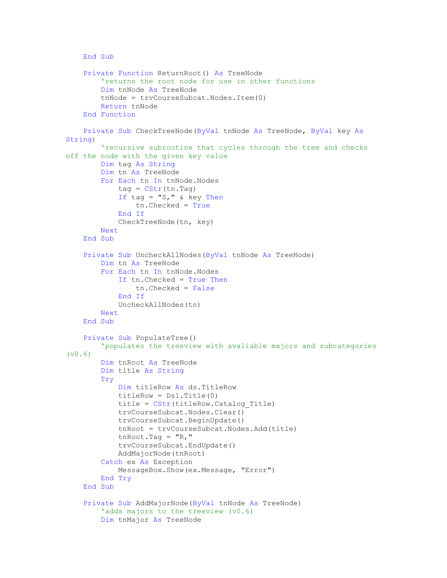```
 End Sub
     Private Function ReturnRoot() As TreeNode
         'returns the root node for use in other functions
         Dim tnNode As TreeNode
         tnNode = trvCourseSubcat.Nodes.Item(0)
         Return tnNode
     End Function
     Private Sub CheckTreeNode(ByVal tnNode As TreeNode, ByVal key As
String)
         'recursive subroutine that cycles through the tree and checks 
off the node with the given key value
         Dim tag As String
         Dim tn As TreeNode
         For Each tn In tnNode.Nodes
            tag = CStr(tn.Tag)If tag = "S," & key Then
                 tn.Checked = True
             End If
             CheckTreeNode(tn, key)
         Next
     End Sub
     Private Sub UncheckAllNodes(ByVal tnNode As TreeNode)
         Dim tn As TreeNode
         For Each tn In tnNode.Nodes
             If tn.Checked = True Then
                 tn.Checked = False
             End If
             UncheckAllNodes(tn)
         Next
     End Sub
     Private Sub PopulateTree()
         'populates the treeview with avaliable majors and subcategories 
(v0.6)
         Dim tnRoot As TreeNode
         Dim title As String
         Try
             Dim titleRow As ds.TitleRow
             titleRow = Ds1.Title(0)
             title = CStr(titleRow.Catalog_Title)
             trvCourseSubcat.Nodes.Clear()
             trvCourseSubcat.BeginUpdate()
             tnRoot = trvCourseSubcat.Nodes.Add(title)
            tnRoot,Tag = "R," trvCourseSubcat.EndUpdate()
             AddMajorNode(tnRoot)
         Catch ex As Exception
             MessageBox.Show(ex.Message, "Error")
         End Try
     End Sub
     Private Sub AddMajorNode(ByVal tnNode As TreeNode)
        'adds majors to the treeview (v0.6)
         Dim tnMajor As TreeNode
```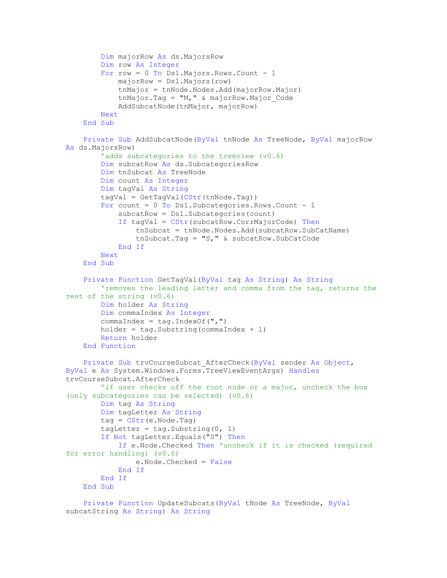```
 Dim majorRow As ds.MajorsRow
         Dim row As Integer
        For row = 0 To Ds1. Majors. Rows. Count - 1
             majorRow = Ds1.Majors(row)
             tnMajor = tnNode.Nodes.Add(majorRow.Major)
            tnMajor.Tag = 'M,'' & majorRow.Major Code
             AddSubcatNode(tnMajor, majorRow)
         Next
     End Sub
     Private Sub AddSubcatNode(ByVal tnNode As TreeNode, ByVal majorRow 
As ds.MajorsRow)
        'adds subcategories to the treeview (v0.6)
         Dim subcatRow As ds.SubcategoriesRow
         Dim tnSubcat As TreeNode
         Dim count As Integer
         Dim tagVal As String
         tagVal = GetTagVal(CStr(tnNode.Tag))
        For count = 0 To Ds1. Subcategories. Rows. Count - 1
             subcatRow = Ds1.Subcategories(count)
             If tagVal = CStr(subcatRow.CorrMajorCode) Then
                 tnSubcat = tnNode.Nodes.Add(subcatRow.SubCatName)
                 tnSubcat.Tag = "S," & subcatRow.SubCatCode
             End If
         Next
     End Sub
     Private Function GetTagVal(ByVal tag As String) As String
         'removes the leading letter and comma from the tag, returns the 
rest of the string (v0.6)
         Dim holder As String
         Dim commaIndex As Integer
        commaIndex = tag.IndexOf(","")holder = tag.Substring(commandIndex + 1) Return holder
     End Function
     Private Sub trvCourseSubcat_AfterCheck(ByVal sender As Object, 
ByVal e As System.Windows.Forms.TreeViewEventArgs) Handles
trvCourseSubcat.AfterCheck
        'if user checks off the root node or a major, uncheck the box
(only subcategories can be selected) (v0.6)
         Dim tag As String
         Dim tagLetter As String
        tag = CStr(e.Node.Taq)tagLetter = tag. Substring (0, 1) If Not tagLetter.Equals("S") Then
             If e.Node.Checked Then 'uncheck if it is checked (required 
for error handling) (v0.6)
                 e.Node.Checked = False
             End If
         End If
     End Sub
     Private Function UpdateSubcats(ByVal tNode As TreeNode, ByVal
```

```
subcatString As String) As String
```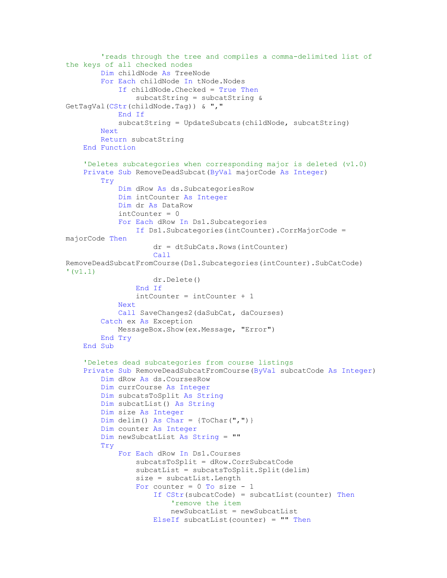```
 'reads through the tree and compiles a comma-delimited list of 
the keys of all checked nodes
         Dim childNode As TreeNode
         For Each childNode In tNode.Nodes
             If childNode.Checked = True Then
                 subcatString = subcatString & 
GetTagVal(CStr(childNode.Tag)) & ","
             End If
             subcatString = UpdateSubcats(childNode, subcatString)
         Next
         Return subcatString
     End Function
     'Deletes subcategories when corresponding major is deleted (v1.0)
     Private Sub RemoveDeadSubcat(ByVal majorCode As Integer)
         Try
             Dim dRow As ds.SubcategoriesRow
             Dim intCounter As Integer
             Dim dr As DataRow
            intCounter = 0 For Each dRow In Ds1.Subcategories
                 If Ds1.Subcategories(intCounter).CorrMajorCode = 
majorCode Then
                      dr = dtSubCats.Rows(intCounter)
                     Call
RemoveDeadSubcatFromCourse(Ds1.Subcategories(intCounter).SubCatCode) 
' (v1.1)
                     dr.Delete()
                 End If
                 intCounter = intCounter + 1
             Next
             Call SaveChanges2(daSubCat, daCourses)
         Catch ex As Exception
             MessageBox.Show(ex.Message, "Error")
         End Try
     End Sub
     'Deletes dead subcategories from course listings
     Private Sub RemoveDeadSubcatFromCourse(ByVal subcatCode As Integer)
         Dim dRow As ds.CoursesRow
         Dim currCourse As Integer
         Dim subcatsToSplit As String
         Dim subcatList() As String
         Dim size As Integer
        Dim delim() As Char = \{ToChar(","")\} Dim counter As Integer
         Dim newSubcatList As String = ""
         Try
             For Each dRow In Ds1.Courses
                 subcatsToSplit = dRow.CorrSubcatCode
                 subcatList = subcatsToSplit.Split(delim)
                 size = subcatList.Length
                For counter = 0 To size - 1
                     If CStr(subcatCode) = subcatList(counter) Then
                          'remove the item
                         newSubcatList = newSubcatList
                     ElseIf subcatList(counter) = " " Then
```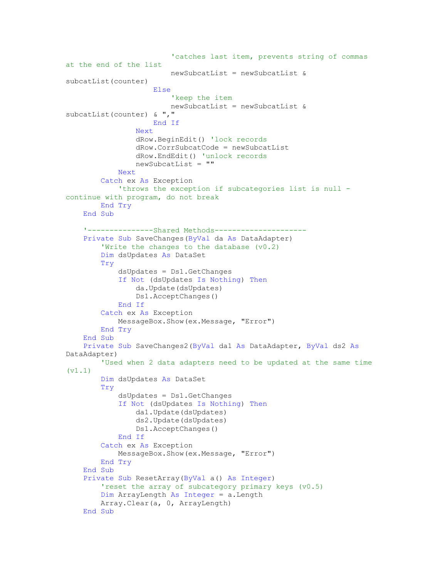```
 'catches last item, prevents string of commas 
at the end of the list
                          newSubcatList = newSubcatList & 
subcatList(counter)
                      Else
                          'keep the item
                         newSubcatList = newSubcatList & 
subcatList(counter) & ","
                     End If
                 Next
                 dRow.BeginEdit() 'lock records
                 dRow.CorrSubcatCode = newSubcatList
                 dRow.EndEdit() 'unlock records
                 newSubcatList = ""
             Next
         Catch ex As Exception
             'throws the exception if subcategories list is null -
continue with program, do not break
         End Try
     End Sub
     '---------------Shared Methods---------------------
     Private Sub SaveChanges(ByVal da As DataAdapter)
         'Write the changes to the database (v0.2)
         Dim dsUpdates As DataSet
         Try
             dsUpdates = Ds1.GetChanges
             If Not (dsUpdates Is Nothing) Then
                 da.Update(dsUpdates)
                 Ds1.AcceptChanges()
             End If
         Catch ex As Exception
             MessageBox.Show(ex.Message, "Error")
         End Try
     End Sub
     Private Sub SaveChanges2(ByVal da1 As DataAdapter, ByVal ds2 As
DataAdapter)
         'Used when 2 data adapters need to be updated at the same time 
(v1.1)
         Dim dsUpdates As DataSet
         Try
             dsUpdates = Ds1.GetChanges
             If Not (dsUpdates Is Nothing) Then
                 da1.Update(dsUpdates)
                 ds2.Update(dsUpdates)
                 Ds1.AcceptChanges()
             End If
         Catch ex As Exception
             MessageBox.Show(ex.Message, "Error")
         End Try
     End Sub
     Private Sub ResetArray(ByVal a() As Integer)
         'reset the array of subcategory primary keys (v0.5)
         Dim ArrayLength As Integer = a.Length
         Array.Clear(a, 0, ArrayLength)
     End Sub
```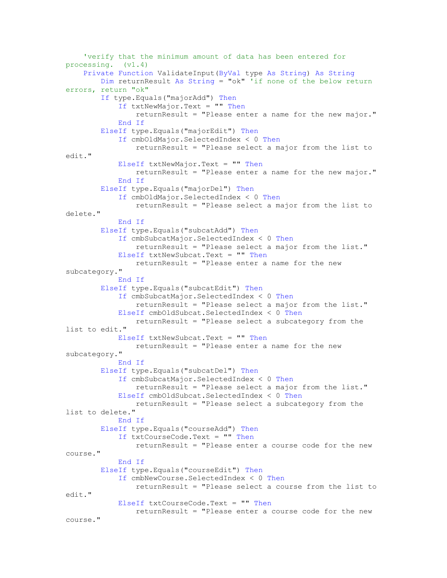```
 'verify that the minimum amount of data has been entered for 
processing. (v1.4)
     Private Function ValidateInput(ByVal type As String) As String
         Dim returnResult As String = "ok" 'if none of the below return 
errors, return "ok"
         If type.Equals("majorAdd") Then
             If txtNewMajor.Text = "" Then
                 returnResult = "Please enter a name for the new major."
             End If
         ElseIf type.Equals("majorEdit") Then
             If cmbOldMajor.SelectedIndex < 0 Then
                 returnResult = "Please select a major from the list to 
edit."
             ElseIf txtNewMajor.Text = "" Then
                 returnResult = "Please enter a name for the new major."
             End If
         ElseIf type.Equals("majorDel") Then
             If cmbOldMajor.SelectedIndex < 0 Then
                 returnResult = "Please select a major from the list to 
delete."
             End If
         ElseIf type.Equals("subcatAdd") Then
             If cmbSubcatMajor.SelectedIndex < 0 Then
                 returnResult = "Please select a major from the list."
             ElseIf txtNewSubcat.Text = "" Then
                 returnResult = "Please enter a name for the new 
subcategory."
             End If
         ElseIf type.Equals("subcatEdit") Then
             If cmbSubcatMajor.SelectedIndex < 0 Then
                 returnResult = "Please select a major from the list."
             ElseIf cmbOldSubcat.SelectedIndex < 0 Then
                 returnResult = "Please select a subcategory from the 
list to edit."
             ElseIf txtNewSubcat.Text = "" Then
                 returnResult = "Please enter a name for the new 
subcategory."
             End If
         ElseIf type.Equals("subcatDel") Then
             If cmbSubcatMajor.SelectedIndex < 0 Then
                 returnResult = "Please select a major from the list."
             ElseIf cmbOldSubcat.SelectedIndex < 0 Then
                 returnResult = "Please select a subcategory from the 
list to delete."
             End If
         ElseIf type.Equals("courseAdd") Then
             If txtCourseCode.Text = "" Then
                 returnResult = "Please enter a course code for the new 
course."
             End If
         ElseIf type.Equals("courseEdit") Then
             If cmbNewCourse.SelectedIndex < 0 Then
                 returnResult = "Please select a course from the list to 
edit."
             ElseIf txtCourseCode.Text = "" Then
                 returnResult = "Please enter a course code for the new 
course."
```